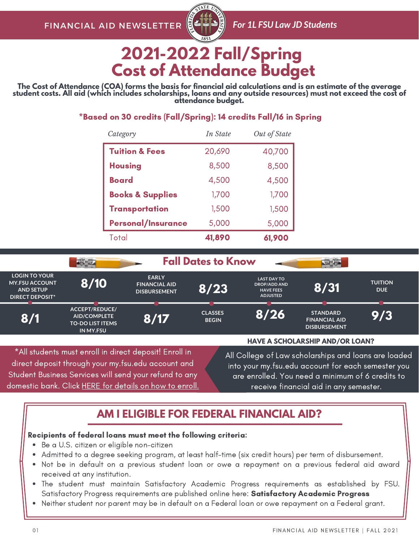

# **2021-2022 Fall/Spring Cost of Attendance Budget**

The Cost of Attendance (COA) forms the basis for financial aid calculations and is an estimate of the average student costs. All aid (which includes scholarships, loans and any outside resources) must not exceed the cost of **attendance budget.**

### \*Based on 30 credits (Fall/Spring): 14 credits Fall/16 in Spring

| Category                    | In State | Out of State |
|-----------------------------|----------|--------------|
| <b>Tuition &amp; Fees</b>   | 20,690   | 40,700       |
| <b>Housing</b>              | 8,500    | 8,500        |
| Board                       | 4,500    | 4,500        |
| <b>Books &amp; Supplies</b> | 1,700    | 1,700        |
| <b>Transportation</b>       | 1,500    | 1,500        |
| <b>Personal/Insurance</b>   | 5,000    | 5,000        |
| Total                       | 41,890   | 61,900       |

|                                                                                                                                                                        |                                                                                      |                                                             | <b>Fall Dates to Know</b>                                                                                                                                      |                                                                                  |                                                                |                              |
|------------------------------------------------------------------------------------------------------------------------------------------------------------------------|--------------------------------------------------------------------------------------|-------------------------------------------------------------|----------------------------------------------------------------------------------------------------------------------------------------------------------------|----------------------------------------------------------------------------------|----------------------------------------------------------------|------------------------------|
| <b>LOGIN TO YOUR</b><br><b>MY.FSU ACCOUNT</b><br><b>AND SETUP</b><br><b>DIRECT DEPOSIT*</b>                                                                            | 8/10                                                                                 | <b>EARLY</b><br><b>FINANCIAL AID</b><br><b>DISBURSEMENT</b> | 8/23                                                                                                                                                           | <b>LAST DAY TO</b><br><b>DROP/ADD AND</b><br><b>HAVE FEES</b><br><b>ADJUSTED</b> | 8/31                                                           | <b>TUITION</b><br><b>DUE</b> |
| 8/1                                                                                                                                                                    | ACCEPT/REDUCE/<br><b>AID/COMPLETE</b><br><b>TO-DO LIST ITEMS</b><br><b>IN MY.FSU</b> | 8/17                                                        | <b>CLASSES</b><br><b>BEGIN</b>                                                                                                                                 | 8/26                                                                             | <b>STANDARD</b><br><b>FINANCIAL AID</b><br><b>DISBURSEMENT</b> | 9/3                          |
|                                                                                                                                                                        |                                                                                      |                                                             |                                                                                                                                                                |                                                                                  | <b>HAVE A SCHOLARSHIP AND/OR LOAN?</b>                         |                              |
| *All students must enroll in direct deposit! Enroll in<br>direct deposit through your my.fsu.edu account and<br>Student Business Services will send your refund to any |                                                                                      |                                                             | All College of Law scholarships and loans are loaded<br>into your my.fsu.edu account for each semester you<br>are enrolled. You need a minimum of 6 credits to |                                                                                  |                                                                |                              |

domestic bank. Click HERE for [details](https://studentbusiness.fsu.edu/refunds/direct-deposit) on how to enroll.

receive financial aid in any semester.

## **AM I ELIGIBLE FOR FEDERAL FINANCIAL AID?**

#### Recipients of federal loans must meet the following criteria:

- Be a U.S. citizen or eligible non-citizen
- Admitted to a degree seeking program, at least half-time (six credit hours) per term of disbursement.
- Not be in default on a previous student loan or owe a repayment on a previous federal aid award received at any institution.
- The student must maintain Satisfactory Academic Progress requirements as established by FSU. [Satisfactory](https://financialaid.fsu.edu/resources/satisfactory-academic-progress-policy) Progress requirements are published online here: Satisfactory Academic Progress
- Neither student nor parent may be in default on a Federal loan or owe repayment on a Federal grant.